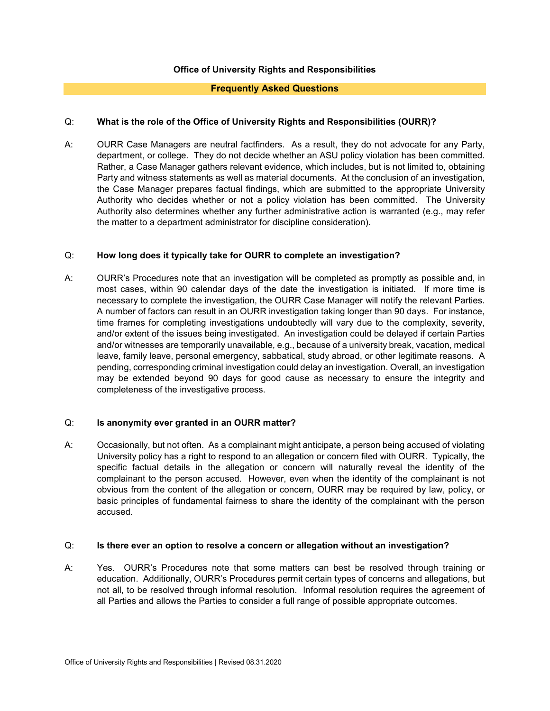# **Office of University Rights and Responsibilities**

# **Frequently Asked Questions**

# Q: **What is the role of the Office of University Rights and Responsibilities (OURR)?**

A: OURR Case Managers are neutral factfinders. As a result, they do not advocate for any Party, department, or college. They do not decide whether an ASU policy violation has been committed. Rather, a Case Manager gathers relevant evidence, which includes, but is not limited to, obtaining Party and witness statements as well as material documents. At the conclusion of an investigation, the Case Manager prepares factual findings, which are submitted to the appropriate University Authority who decides whether or not a policy violation has been committed. The University Authority also determines whether any further administrative action is warranted (e.g., may refer the matter to a department administrator for discipline consideration).

#### Q: **How long does it typically take for OURR to complete an investigation?**

A: OURR's Procedures note that an investigation will be completed as promptly as possible and, in most cases, within 90 calendar days of the date the investigation is initiated. If more time is necessary to complete the investigation, the OURR Case Manager will notify the relevant Parties. A number of factors can result in an OURR investigation taking longer than 90 days. For instance, time frames for completing investigations undoubtedly will vary due to the complexity, severity, and/or extent of the issues being investigated. An investigation could be delayed if certain Parties and/or witnesses are temporarily unavailable, e.g., because of a university break, vacation, medical leave, family leave, personal emergency, sabbatical, study abroad, or other legitimate reasons. A pending, corresponding criminal investigation could delay an investigation. Overall, an investigation may be extended beyond 90 days for good cause as necessary to ensure the integrity and completeness of the investigative process.

#### Q: **Is anonymity ever granted in an OURR matter?**

A: Occasionally, but not often. As a complainant might anticipate, a person being accused of violating University policy has a right to respond to an allegation or concern filed with OURR. Typically, the specific factual details in the allegation or concern will naturally reveal the identity of the complainant to the person accused. However, even when the identity of the complainant is not obvious from the content of the allegation or concern, OURR may be required by law, policy, or basic principles of fundamental fairness to share the identity of the complainant with the person accused.

#### Q: **Is there ever an option to resolve a concern or allegation without an investigation?**

A: Yes. OURR's Procedures note that some matters can best be resolved through training or education. Additionally, OURR's Procedures permit certain types of concerns and allegations, but not all, to be resolved through informal resolution. Informal resolution requires the agreement of all Parties and allows the Parties to consider a full range of possible appropriate outcomes.